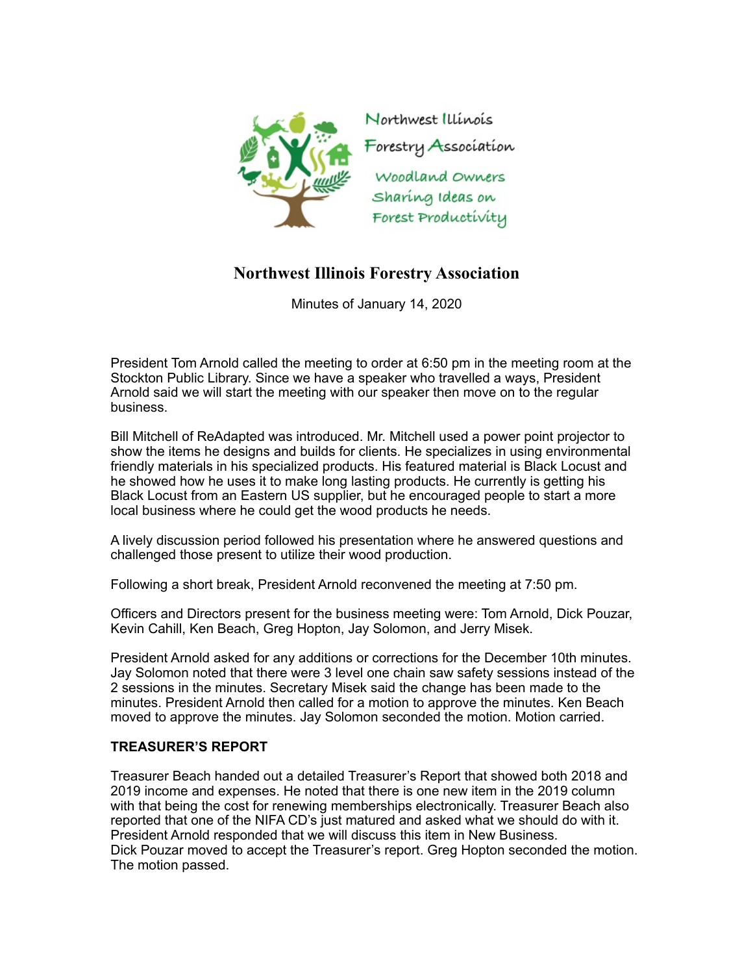

## **Northwest Illinois Forestry Association**

Minutes of January 14, 2020

President Tom Arnold called the meeting to order at 6:50 pm in the meeting room at the Stockton Public Library. Since we have a speaker who travelled a ways, President Arnold said we will start the meeting with our speaker then move on to the regular business.

Bill Mitchell of ReAdapted was introduced. Mr. Mitchell used a power point projector to show the items he designs and builds for clients. He specializes in using environmental friendly materials in his specialized products. His featured material is Black Locust and he showed how he uses it to make long lasting products. He currently is getting his Black Locust from an Eastern US supplier, but he encouraged people to start a more local business where he could get the wood products he needs.

A lively discussion period followed his presentation where he answered questions and challenged those present to utilize their wood production.

Following a short break, President Arnold reconvened the meeting at 7:50 pm.

Officers and Directors present for the business meeting were: Tom Arnold, Dick Pouzar, Kevin Cahill, Ken Beach, Greg Hopton, Jay Solomon, and Jerry Misek.

President Arnold asked for any additions or corrections for the December 10th minutes. Jay Solomon noted that there were 3 level one chain saw safety sessions instead of the 2 sessions in the minutes. Secretary Misek said the change has been made to the minutes. President Arnold then called for a motion to approve the minutes. Ken Beach moved to approve the minutes. Jay Solomon seconded the motion. Motion carried.

## **TREASURER'S REPORT**

Treasurer Beach handed out a detailed Treasurer's Report that showed both 2018 and 2019 income and expenses. He noted that there is one new item in the 2019 column with that being the cost for renewing memberships electronically. Treasurer Beach also reported that one of the NIFA CD's just matured and asked what we should do with it. President Arnold responded that we will discuss this item in New Business. Dick Pouzar moved to accept the Treasurer's report. Greg Hopton seconded the motion. The motion passed.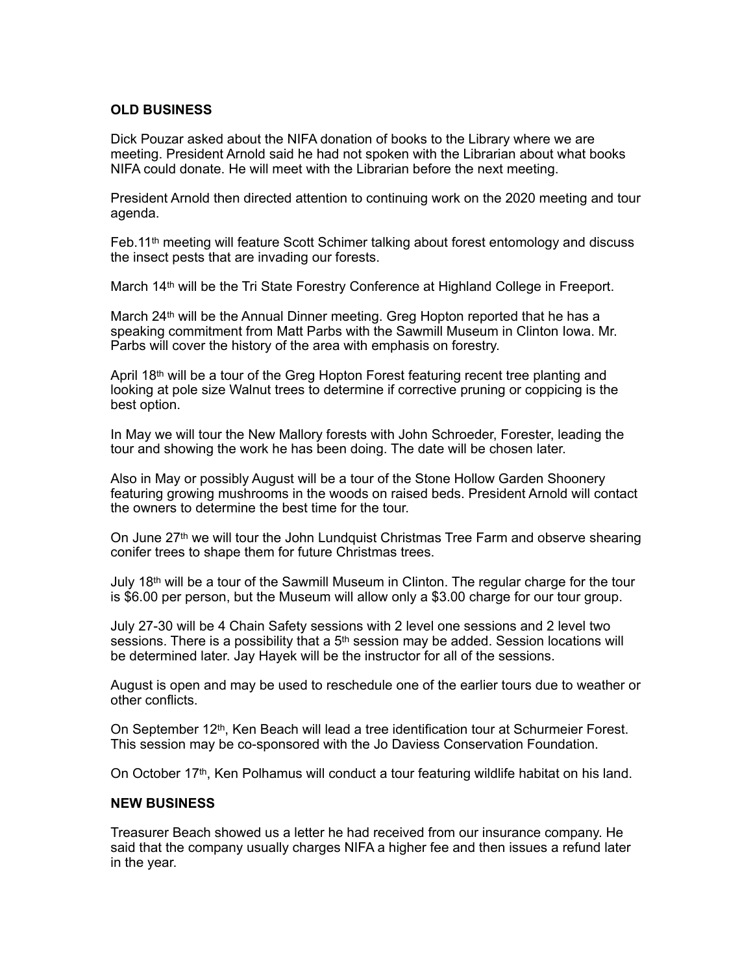## **OLD BUSINESS**

Dick Pouzar asked about the NIFA donation of books to the Library where we are meeting. President Arnold said he had not spoken with the Librarian about what books NIFA could donate. He will meet with the Librarian before the next meeting.

President Arnold then directed attention to continuing work on the 2020 meeting and tour agenda.

Feb.11th meeting will feature Scott Schimer talking about forest entomology and discuss the insect pests that are invading our forests.

March 14th will be the Tri State Forestry Conference at Highland College in Freeport.

March 24<sup>th</sup> will be the Annual Dinner meeting. Greg Hopton reported that he has a speaking commitment from Matt Parbs with the Sawmill Museum in Clinton Iowa. Mr. Parbs will cover the history of the area with emphasis on forestry.

April  $18<sup>th</sup>$  will be a tour of the Greg Hopton Forest featuring recent tree planting and looking at pole size Walnut trees to determine if corrective pruning or coppicing is the best option.

In May we will tour the New Mallory forests with John Schroeder, Forester, leading the tour and showing the work he has been doing. The date will be chosen later.

Also in May or possibly August will be a tour of the Stone Hollow Garden Shoonery featuring growing mushrooms in the woods on raised beds. President Arnold will contact the owners to determine the best time for the tour.

On June 27<sup>th</sup> we will tour the John Lundquist Christmas Tree Farm and observe shearing conifer trees to shape them for future Christmas trees.

July 18<sup>th</sup> will be a tour of the Sawmill Museum in Clinton. The regular charge for the tour is \$6.00 per person, but the Museum will allow only a \$3.00 charge for our tour group.

July 27-30 will be 4 Chain Safety sessions with 2 level one sessions and 2 level two sessions. There is a possibility that a  $5<sup>th</sup>$  session may be added. Session locations will be determined later. Jay Hayek will be the instructor for all of the sessions.

August is open and may be used to reschedule one of the earlier tours due to weather or other conflicts.

On September 12<sup>th</sup>, Ken Beach will lead a tree identification tour at Schurmeier Forest. This session may be co-sponsored with the Jo Daviess Conservation Foundation.

On October 17th, Ken Polhamus will conduct a tour featuring wildlife habitat on his land.

## **NEW BUSINESS**

Treasurer Beach showed us a letter he had received from our insurance company. He said that the company usually charges NIFA a higher fee and then issues a refund later in the year.